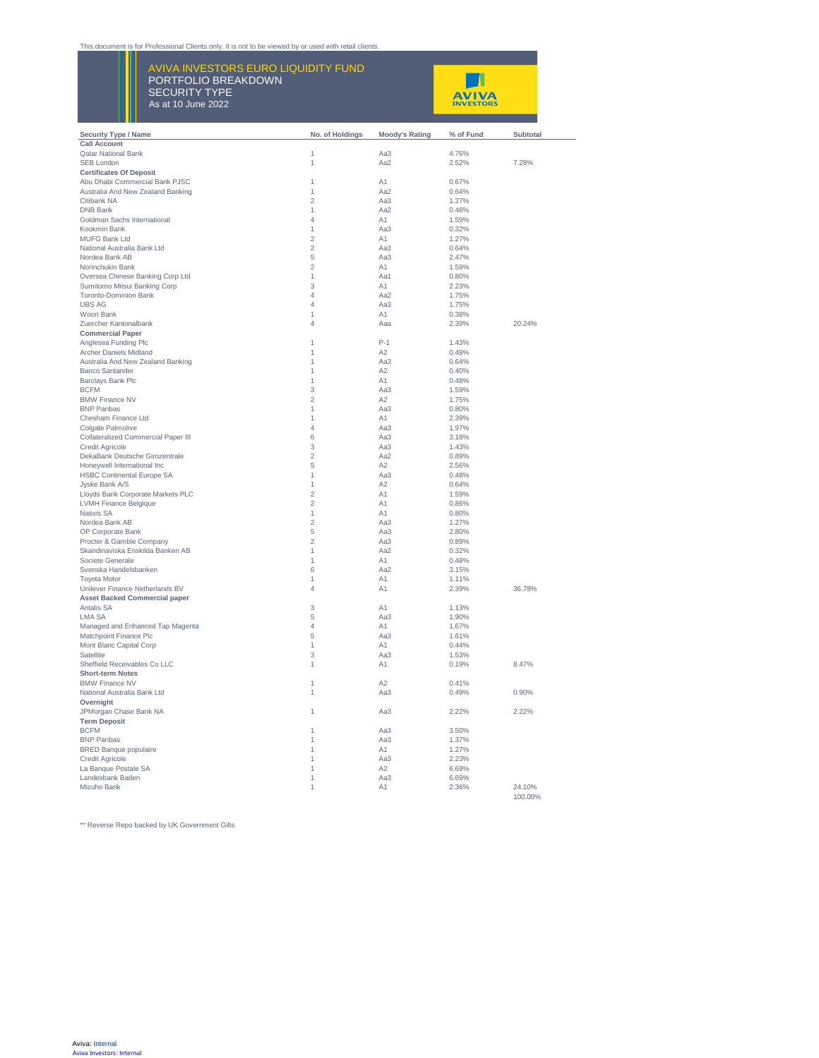## This document is for Professional Clients only. It is not to be viewed by or used with retail clients.

 $\frac{1}{2}$   $\frac{1}{2}$   $\frac{1}{2}$   $\frac{1}{2}$   $\frac{1}{2}$   $\frac{1}{2}$   $\frac{1}{2}$   $\frac{1}{2}$   $\frac{1}{2}$   $\frac{1}{2}$   $\frac{1}{2}$   $\frac{1}{2}$   $\frac{1}{2}$   $\frac{1}{2}$   $\frac{1}{2}$   $\frac{1}{2}$   $\frac{1}{2}$   $\frac{1}{2}$   $\frac{1}{2}$   $\frac{1}{2}$   $\frac{1}{2}$   $\frac{1}{2}$  AVIVA INVESTORS EURO LIQUIDITY FUND PORTFOLIO BREAKDOWN SECURITY TYPE As at 10 June 2022



| <b>Security Type / Name</b>                | No. of Holdings | <b>Moody's Rating</b> | % of Fund | Subtotal |
|--------------------------------------------|-----------------|-----------------------|-----------|----------|
| <b>Call Account</b>                        |                 |                       |           |          |
| <b>Qatar National Bank</b>                 | 1               | Aa3                   | 4.76%     |          |
| <b>SEB London</b>                          | 1               | Aa2                   | 2.52%     | 7.28%    |
| <b>Certificates Of Deposit</b>             |                 |                       |           |          |
| Abu Dhabi Commercial Bank PJSC             | 1               | A1                    | 0.67%     |          |
| Australia And New Zealand Banking          | 1               | Aa2                   | 0.64%     |          |
| Citibank NA                                | $\overline{c}$  | Aa3                   | 1.27%     |          |
| <b>DNB Bank</b>                            | 1               | Aa2                   | 0.48%     |          |
| Goldman Sachs International                | 4               | A <sub>1</sub>        | 1.59%     |          |
| Kookmin Bank                               | 1               | Aa3                   | 0.32%     |          |
| <b>MUFG Bank Ltd</b>                       | $\overline{2}$  | A1                    | 1.27%     |          |
| National Australia Bank Ltd                | $\overline{c}$  | Aa3                   | 0.64%     |          |
| Nordea Bank AB                             | 5               | Aa3                   | 2.47%     |          |
| Norinchukin Bank                           | $\overline{2}$  | A1                    | 1.59%     |          |
| Oversea Chinese Banking Corp Ltd           | 1               | Aa1                   | 0.80%     |          |
|                                            | 3               | A1                    | 2.23%     |          |
| Sumitomo Mitsui Banking Corp               | $\overline{4}$  | Aa2                   | 1 75%     |          |
| <b>Toronto-Dominion Bank</b>               |                 |                       |           |          |
| <b>UBS AG</b>                              | 4               | Aa3                   | 1.75%     |          |
| Woori Bank                                 | 1               | A1                    | 0.38%     |          |
| Zuercher Kantonalbank                      | 4               | Aaa                   | 2.39%     | 20.24%   |
| <b>Commercial Paper</b>                    |                 |                       |           |          |
| Anglesea Funding Plc                       | 1               | $P-1$                 | 1.43%     |          |
| Archer Daniels Midland                     | 1               | A2                    | 0.48%     |          |
| Australia And New Zealand Banking          | 1               | Aa3                   | 0.64%     |          |
| <b>Banco Santander</b>                     | 1               | A2                    | 0.40%     |          |
| <b>Barclays Bank Plc</b>                   | 1               | A <sub>1</sub>        | 0.48%     |          |
| <b>BCFM</b>                                | 3               | Aa3                   | 1.59%     |          |
| <b>BMW Finance NV</b>                      | $\overline{2}$  | A2                    | 1.75%     |          |
| <b>RNP Paribas</b>                         | 1               | Aa3                   | 0.80%     |          |
| Chesham Finance Ltd                        | 1               | A1                    | 2.39%     |          |
| Colgate Palmolive                          | 4               | Aa3                   | 1.97%     |          |
| <b>Collateralized Commercial Paper III</b> | 6               | Aa3                   | 3.18%     |          |
| <b>Credit Agricole</b>                     | 3               | Aa3                   | 1.43%     |          |
| DekaBank Deutsche Girozentrale             | $\overline{2}$  | Aa2                   | 0.89%     |          |
|                                            |                 |                       |           |          |
| Honeywell International Inc                | 5               | A2                    | 2.56%     |          |
| <b>HSBC Continental Europe SA</b>          | 1               | Aa3                   | 0.48%     |          |
| Jyske Bank A/S                             | 1               | A2                    | 0.64%     |          |
| Lloyds Bank Corporate Markets PLC          | $\overline{c}$  | A1                    | 1.59%     |          |
| LVMH Finance Belgique                      | $\overline{2}$  | A1                    | 0.86%     |          |
| <b>Natixis SA</b>                          | 1               | A <sub>1</sub>        | 0.80%     |          |
| Nordea Bank AB                             | $\overline{2}$  | Aa3                   | 1.27%     |          |
| OP Corporate Bank                          | 5               | Aa3                   | 2.80%     |          |
| Procter & Gamble Company                   | $\overline{c}$  | Aa3                   | 0.89%     |          |
| Skandinaviska Enskilda Banken AB           | 1               | Aa2                   | 0.32%     |          |
| Societe Generale                           | 1               | A1                    | 0.48%     |          |
| Svenska Handelsbanken                      | 6               | Aa2                   | 3.15%     |          |
| <b>Toyota Motor</b>                        | 1               | A <sub>1</sub>        | 1.11%     |          |
| Unilever Finance Netherlands BV            | 4               | A <sub>1</sub>        | 2.39%     | 36.78%   |
| <b>Asset Backed Commercial paper</b>       |                 |                       |           |          |
| <b>Antalis SA</b>                          | 3               | A1                    | 1.13%     |          |
| <b>LMA SA</b>                              | 5               | Aa3                   | 1.90%     |          |
|                                            | 4               | A1                    | 1.67%     |          |
| Managed and Enhanced Tap Magenta           | 5               | Aa3                   | 1.61%     |          |
| Matchpoint Finance Plc                     |                 |                       |           |          |
| Mont Blanc Capital Corp                    | 1               | A1                    | 0.44%     |          |
| Satellite                                  | 3               | Aa3                   | 1.53%     |          |
| Sheffield Receivables Co LLC               | 1               | A1                    | 0.19%     | 8.47%    |
| <b>Short-term Notes</b>                    |                 |                       |           |          |
| <b>BMW Finance NV</b>                      | 1               | A2                    | 0.41%     |          |
| National Australia Bank Ltd                | 1               | Aa3                   | 0.49%     | 0.90%    |
| Overnight                                  |                 |                       |           |          |
| JPMorgan Chase Bank NA                     | 1               | Aa3                   | 2.22%     | 2.22%    |
| <b>Term Deposit</b>                        |                 |                       |           |          |
| <b>BCFM</b>                                | 1               | Aa3                   | 3.50%     |          |
| <b>BNP Paribas</b>                         | 1               | Aa3                   | 1.37%     |          |
| <b>BRED Banque populaire</b>               | 1               | A <sub>1</sub>        | 1.27%     |          |
| <b>Credit Agricole</b>                     | 1               | Aa3                   | 2.23%     |          |
| La Banque Postale SA                       | 1               | A2                    | 6.69%     |          |
| Landesbank Baden                           | 1               | Aa3                   | 6.69%     |          |
| Mizuho Bank                                | 1               | A1                    | 2.36%     | 24.10%   |
|                                            |                 |                       |           | 100.00%  |
|                                            |                 |                       |           |          |

\*\* Reverse Repo backed by UK Government Gilts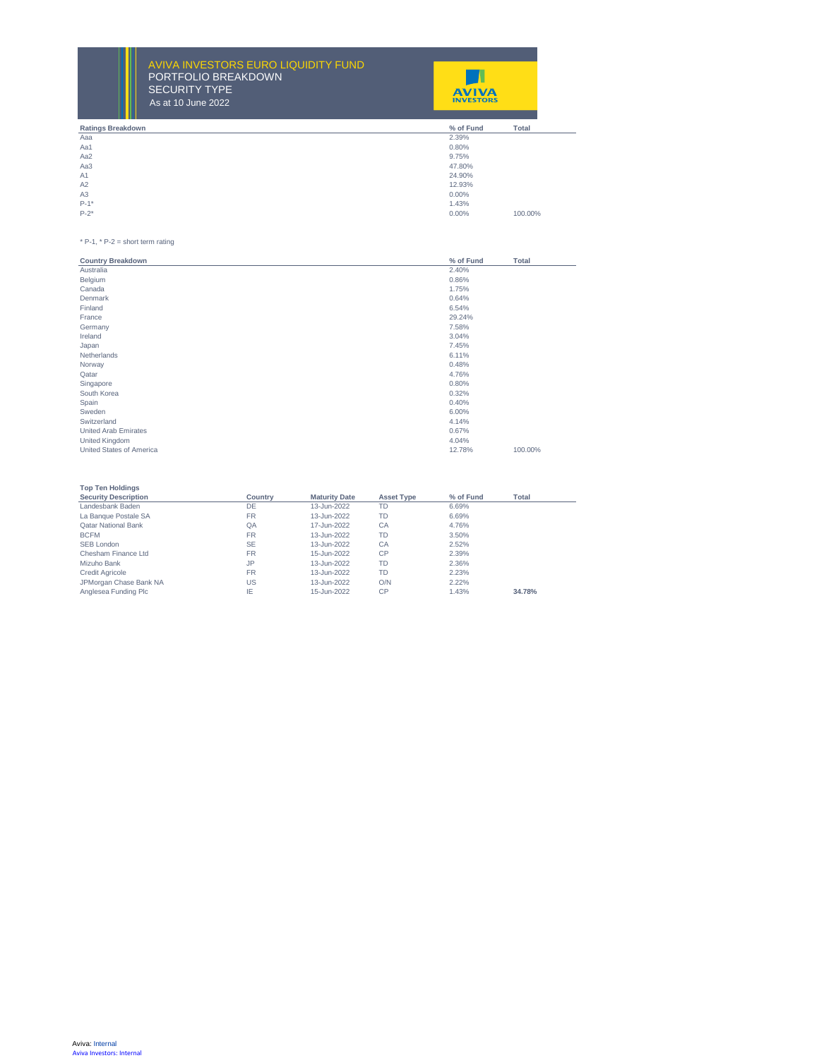$\frac{3}{4}$ AVIVA INVESTORS EURO LIQUIDITY FUND PORTFOLIO BREAKDOWN SECURITY TYPE As at 10 June 2022



| <b>Ratings Breakdown</b> | <b>Total</b><br>% of Fund |
|--------------------------|---------------------------|
| Aaa                      | 2.39%                     |
| Aa1                      | 0.80%                     |
| Aa2                      | 9.75%                     |
| Aa3                      | 47.80%                    |
| A1                       | 24.90%                    |
| A2                       | 12.93%                    |
| A3                       | $0.00\%$                  |
| $P-1*$                   | 1.43%                     |
| $P-2$ *                  | $0.00\%$<br>100.00%       |
|                          |                           |

 $* P-1$ ,  $* P-2$  = short term rating

\*\* Reverse Repo backed by UK Government Gilts

| <b>Country Breakdown</b>    | % of Fund | <b>Total</b> |
|-----------------------------|-----------|--------------|
| Australia                   | 2.40%     |              |
| Belgium                     | 0.86%     |              |
| Canada                      | 1.75%     |              |
| Denmark                     | 0.64%     |              |
| Finland                     | 6.54%     |              |
| France                      | 29.24%    |              |
| Germany                     | 7.58%     |              |
| Ireland                     | 3.04%     |              |
| Japan                       | 7.45%     |              |
| Netherlands                 | 6.11%     |              |
| Norway                      | 0.48%     |              |
| Qatar                       | 4.76%     |              |
| Singapore                   | 0.80%     |              |
| South Korea                 | 0.32%     |              |
| Spain                       | 0.40%     |              |
| Sweden                      | 6.00%     |              |
| Switzerland                 | 4.14%     |              |
| <b>United Arab Emirates</b> | 0.67%     |              |
| United Kingdom              | 4.04%     |              |
| United States of America    | 12.78%    | 100.00%      |

| <b>Top Ten Holdings</b>     |           |                      |                   |           |        |
|-----------------------------|-----------|----------------------|-------------------|-----------|--------|
| <b>Security Description</b> | Country   | <b>Maturity Date</b> | <b>Asset Type</b> | % of Fund | Total  |
| Landesbank Baden            | DE        | 13-Jun-2022          | TD                | 6.69%     |        |
| La Banque Postale SA        | <b>FR</b> | 13-Jun-2022          | TD                | 6.69%     |        |
| <b>Oatar National Bank</b>  | QA        | 17-Jun-2022          | CA                | 4.76%     |        |
| <b>BCFM</b>                 | <b>FR</b> | 13-Jun-2022          | <b>TD</b>         | 3.50%     |        |
| SEB London                  | <b>SE</b> | 13-Jun-2022          | CA                | 2.52%     |        |
| Chesham Finance Ltd         | <b>FR</b> | 15-Jun-2022          | CP                | 2.39%     |        |
| Mizuho Bank                 | JP.       | 13-Jun-2022          | TD                | 2.36%     |        |
| <b>Credit Agricole</b>      | FR.       | 13-Jun-2022          | <b>TD</b>         | 2.23%     |        |
| JPMorgan Chase Bank NA      | US        | 13-Jun-2022          | O/N               | 2.22%     |        |
| Anglesea Funding Plc        | IE        | 15-Jun-2022          | CP                | 1.43%     | 34.78% |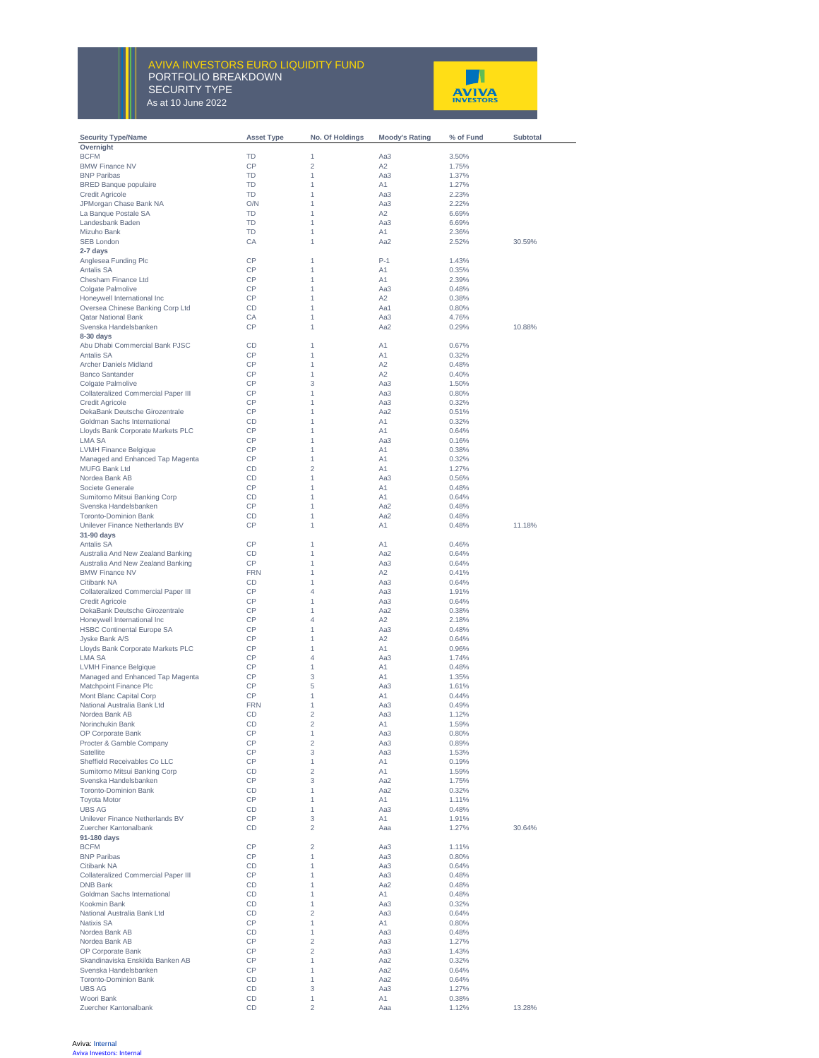## $A_0$  at 10  $\mu$ <sub>p</sub> 2022 AVIVA INVESTORS EURO LIQUIDITY FUND PORTFOLIO BREAKDOWN SECURITY TYPE As at 10 June 2022



| <b>Security Type/Name</b>                                        | <b>Asset Type</b> | No. Of Holdings     | <b>Moody's Rating</b> | % of Fund      | Subtotal |
|------------------------------------------------------------------|-------------------|---------------------|-----------------------|----------------|----------|
| Overnight                                                        |                   |                     |                       |                |          |
| <b>BCFM</b>                                                      | <b>TD</b><br>CP   | 1<br>$\overline{c}$ | Aa3<br>A <sub>2</sub> | 3.50%          |          |
| <b>BMW Finance NV</b><br><b>BNP Paribas</b>                      | <b>TD</b>         | 1                   | Aa3                   | 1.75%<br>1.37% |          |
| <b>BRED Banque populaire</b>                                     | <b>TD</b>         | 1                   | A1                    | 1.27%          |          |
| <b>Credit Agricole</b>                                           | TD                | 1                   | Aa3                   | 2.23%          |          |
| JPMorgan Chase Bank NA                                           | O/N               | 1                   | Aa3                   | 2.22%          |          |
| La Banque Postale SA                                             | <b>TD</b>         | 1                   | A2                    | 6.69%          |          |
| Landesbank Baden                                                 | <b>TD</b>         | 1                   | Aa3                   | 6.69%          |          |
| Mizuho Bank                                                      | TD                | 1                   | A1                    | 2.36%          |          |
| <b>SEB London</b><br>2-7 days                                    | CA                | 1                   | Aa2                   | 2.52%          | 30.59%   |
| Anglesea Funding Plc                                             | CP                | 1                   | $P-1$                 | 1.43%          |          |
| <b>Antalis SA</b>                                                | CP                | 1                   | A <sub>1</sub>        | 0.35%          |          |
| Chesham Finance Ltd                                              | <b>CP</b>         | 1                   | A <sub>1</sub>        | 2.39%          |          |
| Colgate Palmolive                                                | CP                | 1                   | Aa3                   | 0.48%          |          |
| Honeywell International Inc                                      | CP                | 1                   | A <sub>2</sub>        | 0.38%          |          |
| Oversea Chinese Banking Corp Ltd                                 | CD                | 1                   | Aa1                   | 0.80%          |          |
| <b>Qatar National Bank</b><br>Svenska Handelsbanken              | CA<br>CP          | 1<br>1              | Aa3<br>Aa2            | 4.76%<br>0.29% | 10.88%   |
| $8-30$ days                                                      |                   |                     |                       |                |          |
| Abu Dhabi Commercial Bank PJSC                                   | <b>CD</b>         | 1                   | A1                    | 0.67%          |          |
| <b>Antalis SA</b>                                                | CP                | 1                   | A <sub>1</sub>        | 0.32%          |          |
| Archer Daniels Midland                                           | CP                | 1                   | A <sub>2</sub>        | 0.48%          |          |
| <b>Banco Santander</b>                                           | CP                | 1                   | A2                    | 0.40%          |          |
| Colgate Palmolive                                                | <b>CP</b>         | 3                   | Aa3                   | 1.50%          |          |
| <b>Collateralized Commercial Paper III</b>                       | CP                | 1                   | Aa3                   | 0.80%          |          |
| <b>Credit Agricole</b>                                           | CP                | 1                   | Aa3                   | 0.32%          |          |
| DekaBank Deutsche Girozentrale                                   | CP                | 1                   | Aa2                   | 0.51%          |          |
| Goldman Sachs International<br>Lloyds Bank Corporate Markets PLC | <b>CD</b><br>CP   | 1<br>1              | A1<br>A1              | 0.32%<br>0.64% |          |
| LMA SA                                                           | CP                | 1                   | Aa3                   | 0.16%          |          |
| LVMH Finance Belgique                                            | CP                | 1                   | A1                    | 0.38%          |          |
| Managed and Enhanced Tap Magenta                                 | CP                | 1                   | A1                    | 0.32%          |          |
| <b>MUFG Bank Ltd</b>                                             | CD                | $\overline{2}$      | A <sub>1</sub>        | 1.27%          |          |
| Nordea Bank AB                                                   | CD                | 1                   | Aa3                   | 0.56%          |          |
| Societe Generale                                                 | <b>CP</b>         | 1                   | A <sub>1</sub>        | 0.48%          |          |
| Sumitomo Mitsui Banking Corp                                     | CD                | 1                   | A <sub>1</sub>        | 0.64%          |          |
| Svenska Handelsbanken                                            | CP                | 1                   | Aa2                   | 0.48%          |          |
| <b>Toronto-Dominion Bank</b><br>Unilever Finance Netherlands BV  | <b>CD</b><br>CP   | 1<br>1              | Aa2<br>A <sub>1</sub> | 0.48%<br>0.48% | 11.18%   |
| 31-90 days                                                       |                   |                     |                       |                |          |
| <b>Antalis SA</b>                                                | CP                | 1                   | A1                    | 0.46%          |          |
| Australia And New Zealand Banking                                | <b>CD</b>         | 1                   | Aa2                   | 0.64%          |          |
| Australia And New Zealand Banking                                | CP                | 1                   | Aa3                   | 0.64%          |          |
| <b>BMW Finance NV</b>                                            | <b>FRN</b>        | 1                   | A <sub>2</sub>        | 0.41%          |          |
| Citibank NA                                                      | CD                | 1                   | Aa3                   | 0.64%          |          |
| <b>Collateralized Commercial Paper III</b>                       | CP                | 4                   | Aa3                   | 1.91%          |          |
| <b>Credit Agricole</b>                                           | CP<br>CP          | 1                   | Aa3                   | 0.64%          |          |
| DekaBank Deutsche Girozentrale<br>Honeywell International Inc    | <b>CP</b>         | 1<br>4              | Aa2<br>A2             | 0.38%<br>2.18% |          |
| <b>HSBC Continental Europe SA</b>                                | CP                | 1                   | Aa3                   | 0.48%          |          |
| Jyske Bank A/S                                                   | CP                | 1                   | A <sub>2</sub>        | 0.64%          |          |
| Lloyds Bank Corporate Markets PLC                                | CP                | 1                   | A1                    | 0.96%          |          |
| <b>LMA SA</b>                                                    | <b>CP</b>         | 4                   | Aa3                   | 1.74%          |          |
| <b>LVMH Finance Belgique</b>                                     | СP                | 1                   | A1                    | 0.48%          |          |
| Managed and Enhanced Tap Magenta                                 | CP                | 3                   | A <sub>1</sub>        | 1.35%          |          |
| Matchpoint Finance Plc                                           | <b>CP</b>         | 5                   | Aa3                   | 1.61%          |          |
| Mont Blanc Capital Corp<br>National Australia Bank Ltd           | CP                | 1                   | A1                    | 0.44%<br>0.49% |          |
| Nordea Bank AB                                                   | <b>FRN</b><br>CD  | 1<br>$\overline{c}$ | Aa3<br>Aa3            | 1.12%          |          |
| Norinchukin Bank                                                 | CD                | 2                   | A1                    | 1.59%          |          |
| OP Corporate Bank                                                | CP                | 1                   | Aa3                   | 0.80%          |          |
| Procter & Gamble Company                                         | CP                | $\overline{c}$      | Aa3                   | 0.89%          |          |
| Satellite                                                        | CP                | 3                   | Aa3                   | 1.53%          |          |
| Sheffield Receivables Co LLC                                     | CP                | 1                   | A1                    | 0.19%          |          |
| Sumitomo Mitsui Banking Corp                                     | CD                | $\overline{c}$      | A1                    | 1.59%          |          |
| Svenska Handelsbanken                                            | CP                | 3                   | Aa2                   | 1.75%          |          |
| <b>Toronto-Dominion Bank</b><br><b>Toyota Motor</b>              | CD<br>CP          | 1<br>1              | Aa2<br>A1             | 0.32%<br>1.11% |          |
| <b>UBS AG</b>                                                    | CD                | 1                   | Aa3                   | 0.48%          |          |
| Unilever Finance Netherlands BV                                  | CP                | 3                   | A1                    | 1.91%          |          |
| Zuercher Kantonalbank                                            | CD                | 2                   | Aaa                   | 1.27%          | 30.64%   |
| 91-180 days                                                      |                   |                     |                       |                |          |
| <b>BCFM</b>                                                      | CP                | $\overline{c}$      | Aa3                   | 1.11%          |          |
| <b>BNP Paribas</b>                                               | CP                | 1                   | Aa3                   | 0.80%          |          |
| Citibank NA                                                      | CD                | 1                   | Aa3                   | 0.64%          |          |
| <b>Collateralized Commercial Paper III</b>                       | CP                | 1                   | Aa3                   | 0.48%          |          |
| <b>DNB Bank</b><br>Goldman Sachs International                   | CD                | 1<br>1              | Aa2<br>A1             | 0.48%          |          |
| Kookmin Bank                                                     | CD<br>CD          | 1                   | Aa3                   | 0.48%<br>0.32% |          |
| National Australia Bank Ltd                                      | CD                | $\overline{c}$      | Aa3                   | 0.64%          |          |
| <b>Natixis SA</b>                                                | CP                | 1                   | A1                    | 0.80%          |          |
| Nordea Bank AB                                                   | CD                | 1                   | Aa3                   | 0.48%          |          |
| Nordea Bank AB                                                   | CP                | $\overline{c}$      | Aa3                   | 1.27%          |          |
| OP Corporate Bank                                                | CP                | $\overline{c}$      | Aa3                   | 1.43%          |          |
| Skandinaviska Enskilda Banken AB                                 | CP                | 1                   | Aa2                   | 0.32%          |          |
| Svenska Handelsbanken                                            | CP                | 1                   | Aa2                   | 0.64%          |          |
| <b>Toronto-Dominion Bank</b><br><b>UBS AG</b>                    | CD<br>CD          | 1<br>3              | Aa2<br>Aa3            | 0.64%          |          |
| Woori Bank                                                       | CD                | 1                   | A1                    | 1.27%<br>0.38% |          |
| Zuercher Kantonalbank                                            | CD                | $\overline{c}$      | Aaa                   | 1.12%          | 13.28%   |

Aviva: Internal Aviva Investors: Internal